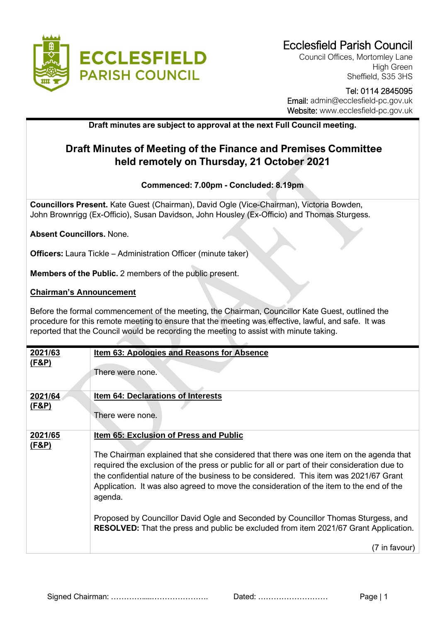

Council Offices, Mortomley Lane High Green Sheffield, S35 3HS

## Tel: 0114 2845095 Email: admin@ecclesfield-pc.gov.uk Website: www.ecclesfield-pc.gov.uk

## **Draft minutes are subject to approval at the next Full Council meeting.**

# **Draft Minutes of Meeting of the Finance and Premises Committee held remotely on Thursday, 21 October 2021**

### **Commenced: 7.00pm - Concluded: 8.19pm**

**Councillors Present.** Kate Guest (Chairman), David Ogle (Vice-Chairman), Victoria Bowden, John Brownrigg (Ex-Officio), Susan Davidson, John Housley (Ex-Officio) and Thomas Sturgess.

**Absent Councillors.** None.

**Officers:** Laura Tickle – Administration Officer (minute taker)

**Members of the Public.** 2 members of the public present.

#### **Chairman's Announcement**

Before the formal commencement of the meeting, the Chairman, Councillor Kate Guest, outlined the procedure for this remote meeting to ensure that the meeting was effective, lawful, and safe. It was reported that the Council would be recording the meeting to assist with minute taking.

| 2021/63                     | <b>Item 63: Apologies and Reasons for Absence</b>                                                                                                                                                                                                                                                                                                                                                                                                                                                                                                                                                                 |
|-----------------------------|-------------------------------------------------------------------------------------------------------------------------------------------------------------------------------------------------------------------------------------------------------------------------------------------------------------------------------------------------------------------------------------------------------------------------------------------------------------------------------------------------------------------------------------------------------------------------------------------------------------------|
| <u>(F&amp;P)</u>            | There were none.                                                                                                                                                                                                                                                                                                                                                                                                                                                                                                                                                                                                  |
| 2021/64                     | Item 64: Declarations of Interests                                                                                                                                                                                                                                                                                                                                                                                                                                                                                                                                                                                |
| <u>(F&amp;P)</u>            | There were none.                                                                                                                                                                                                                                                                                                                                                                                                                                                                                                                                                                                                  |
| 2021/65<br><u>(F&amp;P)</u> | Item 65: Exclusion of Press and Public<br>The Chairman explained that she considered that there was one item on the agenda that<br>required the exclusion of the press or public for all or part of their consideration due to<br>the confidential nature of the business to be considered. This item was 2021/67 Grant<br>Application. It was also agreed to move the consideration of the item to the end of the<br>agenda.<br>Proposed by Councillor David Ogle and Seconded by Councillor Thomas Sturgess, and<br><b>RESOLVED:</b> That the press and public be excluded from item 2021/67 Grant Application. |
|                             | (7 in favour)                                                                                                                                                                                                                                                                                                                                                                                                                                                                                                                                                                                                     |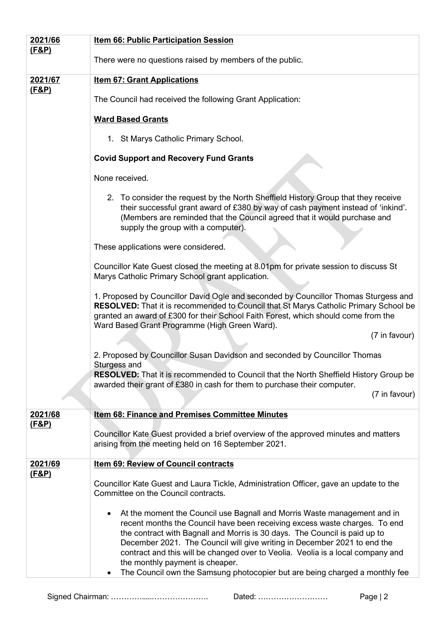| 2021/66<br><u>(F&amp;P)</u> | <b>Item 66: Public Participation Session</b>                                                                                                                                                                                                                                                                                                                                                                                                                                                                                       |
|-----------------------------|------------------------------------------------------------------------------------------------------------------------------------------------------------------------------------------------------------------------------------------------------------------------------------------------------------------------------------------------------------------------------------------------------------------------------------------------------------------------------------------------------------------------------------|
|                             | There were no questions raised by members of the public.                                                                                                                                                                                                                                                                                                                                                                                                                                                                           |
| 2021/67<br><u>(F&amp;P)</u> | <b>Item 67: Grant Applications</b>                                                                                                                                                                                                                                                                                                                                                                                                                                                                                                 |
|                             | The Council had received the following Grant Application:                                                                                                                                                                                                                                                                                                                                                                                                                                                                          |
|                             | <b>Ward Based Grants</b>                                                                                                                                                                                                                                                                                                                                                                                                                                                                                                           |
|                             | 1. St Marys Catholic Primary School.                                                                                                                                                                                                                                                                                                                                                                                                                                                                                               |
|                             | <b>Covid Support and Recovery Fund Grants</b>                                                                                                                                                                                                                                                                                                                                                                                                                                                                                      |
|                             | None received.                                                                                                                                                                                                                                                                                                                                                                                                                                                                                                                     |
|                             | 2. To consider the request by the North Sheffield History Group that they receive<br>their successful grant award of £380 by way of cash payment instead of 'inkind'.<br>(Members are reminded that the Council agreed that it would purchase and<br>supply the group with a computer).                                                                                                                                                                                                                                            |
|                             | These applications were considered.                                                                                                                                                                                                                                                                                                                                                                                                                                                                                                |
|                             | Councillor Kate Guest closed the meeting at 8.01pm for private session to discuss St<br>Marys Catholic Primary School grant application.                                                                                                                                                                                                                                                                                                                                                                                           |
|                             | 1. Proposed by Councillor David Ogle and seconded by Councillor Thomas Sturgess and<br><b>RESOLVED:</b> That it is recommended to Council that St Marys Catholic Primary School be<br>granted an award of £300 for their School Faith Forest, which should come from the<br>Ward Based Grant Programme (High Green Ward).                                                                                                                                                                                                          |
|                             | (7 in favour)                                                                                                                                                                                                                                                                                                                                                                                                                                                                                                                      |
|                             | 2. Proposed by Councillor Susan Davidson and seconded by Councillor Thomas<br>Sturgess and                                                                                                                                                                                                                                                                                                                                                                                                                                         |
|                             | <b>RESOLVED:</b> That it is recommended to Council that the North Sheffield History Group be<br>awarded their grant of £380 in cash for them to purchase their computer.                                                                                                                                                                                                                                                                                                                                                           |
|                             | (7 in favour)                                                                                                                                                                                                                                                                                                                                                                                                                                                                                                                      |
| 2021/68<br><u>(F&amp;P)</u> | <b>Item 68: Finance and Premises Committee Minutes</b>                                                                                                                                                                                                                                                                                                                                                                                                                                                                             |
|                             | Councillor Kate Guest provided a brief overview of the approved minutes and matters<br>arising from the meeting held on 16 September 2021.                                                                                                                                                                                                                                                                                                                                                                                         |
| 2021/69<br><u>(F&amp;P)</u> | Item 69: Review of Council contracts                                                                                                                                                                                                                                                                                                                                                                                                                                                                                               |
|                             | Councillor Kate Guest and Laura Tickle, Administration Officer, gave an update to the<br>Committee on the Council contracts.                                                                                                                                                                                                                                                                                                                                                                                                       |
|                             | At the moment the Council use Bagnall and Morris Waste management and in<br>recent months the Council have been receiving excess waste charges. To end<br>the contract with Bagnall and Morris is 30 days. The Council is paid up to<br>December 2021. The Council will give writing in December 2021 to end the<br>contract and this will be changed over to Veolia. Veolia is a local company and<br>the monthly payment is cheaper.<br>The Council own the Samsung photocopier but are being charged a monthly fee<br>$\bullet$ |

Signed Chairman: ………….....…………………. Dated: ……………………… Page | 2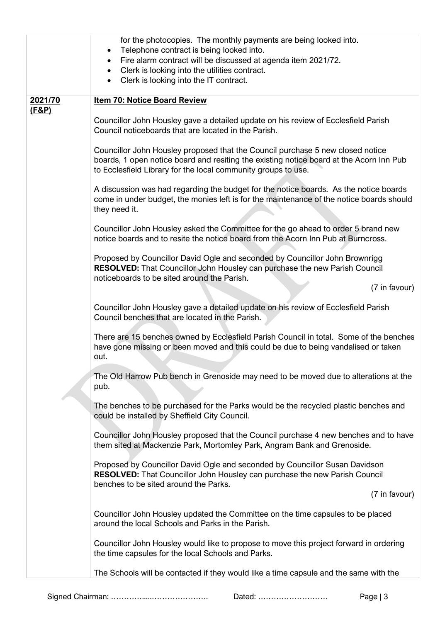|                  | for the photocopies. The monthly payments are being looked into.<br>Telephone contract is being looked into.<br>Fire alarm contract will be discussed at agenda item 2021/72.<br>$\bullet$<br>Clerk is looking into the utilities contract.<br>Clerk is looking into the IT contract.<br>$\bullet$ |
|------------------|----------------------------------------------------------------------------------------------------------------------------------------------------------------------------------------------------------------------------------------------------------------------------------------------------|
| 2021/70          | <b>Item 70: Notice Board Review</b>                                                                                                                                                                                                                                                                |
| <u>(F&amp;P)</u> | Councillor John Housley gave a detailed update on his review of Ecclesfield Parish<br>Council noticeboards that are located in the Parish.                                                                                                                                                         |
|                  | Councillor John Housley proposed that the Council purchase 5 new closed notice<br>boards, 1 open notice board and resiting the existing notice board at the Acorn Inn Pub<br>to Ecclesfield Library for the local community groups to use.                                                         |
|                  | A discussion was had regarding the budget for the notice boards. As the notice boards<br>come in under budget, the monies left is for the maintenance of the notice boards should<br>they need it.                                                                                                 |
|                  | Councillor John Housley asked the Committee for the go ahead to order 5 brand new<br>notice boards and to resite the notice board from the Acorn Inn Pub at Burncross.                                                                                                                             |
|                  | Proposed by Councillor David Ogle and seconded by Councillor John Brownrigg<br>RESOLVED: That Councillor John Housley can purchase the new Parish Council<br>noticeboards to be sited around the Parish.                                                                                           |
|                  | (7 in favour)                                                                                                                                                                                                                                                                                      |
|                  | Councillor John Housley gave a detailed update on his review of Ecclesfield Parish<br>Council benches that are located in the Parish.                                                                                                                                                              |
|                  | There are 15 benches owned by Ecclesfield Parish Council in total. Some of the benches<br>have gone missing or been moved and this could be due to being vandalised or taken<br>out.                                                                                                               |
|                  | The Old Harrow Pub bench in Grenoside may need to be moved due to alterations at the<br>pub.                                                                                                                                                                                                       |
|                  | The benches to be purchased for the Parks would be the recycled plastic benches and<br>could be installed by Sheffield City Council.                                                                                                                                                               |
|                  | Councillor John Housley proposed that the Council purchase 4 new benches and to have<br>them sited at Mackenzie Park, Mortomley Park, Angram Bank and Grenoside.                                                                                                                                   |
|                  | Proposed by Councillor David Ogle and seconded by Councillor Susan Davidson<br><b>RESOLVED:</b> That Councillor John Housley can purchase the new Parish Council<br>benches to be sited around the Parks.                                                                                          |
|                  | (7 in favour)                                                                                                                                                                                                                                                                                      |
|                  | Councillor John Housley updated the Committee on the time capsules to be placed<br>around the local Schools and Parks in the Parish.                                                                                                                                                               |
|                  | Councillor John Housley would like to propose to move this project forward in ordering<br>the time capsules for the local Schools and Parks.                                                                                                                                                       |
|                  | The Schools will be contacted if they would like a time capsule and the same with the                                                                                                                                                                                                              |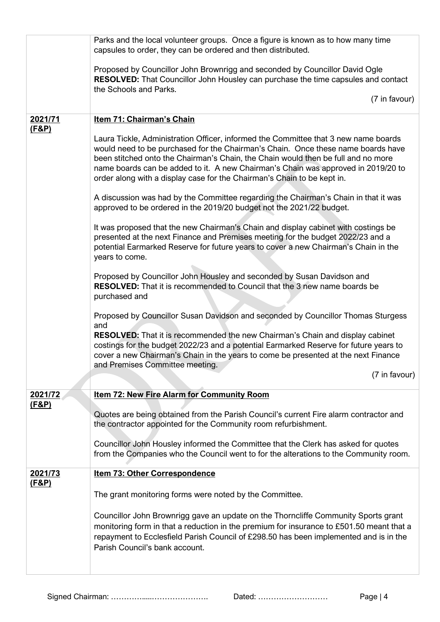|                             | Parks and the local volunteer groups. Once a figure is known as to how many time<br>capsules to order, they can be ordered and then distributed.                                                                                                                                                                                                                                                                             |
|-----------------------------|------------------------------------------------------------------------------------------------------------------------------------------------------------------------------------------------------------------------------------------------------------------------------------------------------------------------------------------------------------------------------------------------------------------------------|
|                             | Proposed by Councillor John Brownrigg and seconded by Councillor David Ogle<br><b>RESOLVED:</b> That Councillor John Housley can purchase the time capsules and contact<br>the Schools and Parks.                                                                                                                                                                                                                            |
|                             | (7 in favour)                                                                                                                                                                                                                                                                                                                                                                                                                |
| 2021/71<br>(F&P)            | Item 71: Chairman's Chain                                                                                                                                                                                                                                                                                                                                                                                                    |
|                             | Laura Tickle, Administration Officer, informed the Committee that 3 new name boards<br>would need to be purchased for the Chairman's Chain. Once these name boards have<br>been stitched onto the Chairman's Chain, the Chain would then be full and no more<br>name boards can be added to it. A new Chairman's Chain was approved in 2019/20 to<br>order along with a display case for the Chairman's Chain to be kept in. |
|                             | A discussion was had by the Committee regarding the Chairman's Chain in that it was<br>approved to be ordered in the 2019/20 budget not the 2021/22 budget.                                                                                                                                                                                                                                                                  |
|                             | It was proposed that the new Chairman's Chain and display cabinet with costings be<br>presented at the next Finance and Premises meeting for the budget 2022/23 and a<br>potential Earmarked Reserve for future years to cover a new Chairman's Chain in the<br>years to come.                                                                                                                                               |
|                             | Proposed by Councillor John Housley and seconded by Susan Davidson and<br><b>RESOLVED:</b> That it is recommended to Council that the 3 new name boards be<br>purchased and                                                                                                                                                                                                                                                  |
|                             | Proposed by Councillor Susan Davidson and seconded by Councillor Thomas Sturgess<br>and                                                                                                                                                                                                                                                                                                                                      |
|                             | <b>RESOLVED:</b> That it is recommended the new Chairman's Chain and display cabinet<br>costings for the budget 2022/23 and a potential Earmarked Reserve for future years to<br>cover a new Chairman's Chain in the years to come be presented at the next Finance<br>and Premises Committee meeting.                                                                                                                       |
|                             | (7 in favour)                                                                                                                                                                                                                                                                                                                                                                                                                |
| 2021/72<br><u>(F&amp;P)</u> | <b>Item 72: New Fire Alarm for Community Room</b>                                                                                                                                                                                                                                                                                                                                                                            |
|                             | Quotes are being obtained from the Parish Council's current Fire alarm contractor and<br>the contractor appointed for the Community room refurbishment.                                                                                                                                                                                                                                                                      |
|                             | Councillor John Housley informed the Committee that the Clerk has asked for quotes<br>from the Companies who the Council went to for the alterations to the Community room.                                                                                                                                                                                                                                                  |
| 2021/73<br><u>(F&amp;P)</u> | <b>Item 73: Other Correspondence</b>                                                                                                                                                                                                                                                                                                                                                                                         |
|                             | The grant monitoring forms were noted by the Committee.                                                                                                                                                                                                                                                                                                                                                                      |
|                             | Councillor John Brownrigg gave an update on the Thorncliffe Community Sports grant<br>monitoring form in that a reduction in the premium for insurance to £501.50 meant that a<br>repayment to Ecclesfield Parish Council of £298.50 has been implemented and is in the<br>Parish Council's bank account.                                                                                                                    |
|                             |                                                                                                                                                                                                                                                                                                                                                                                                                              |